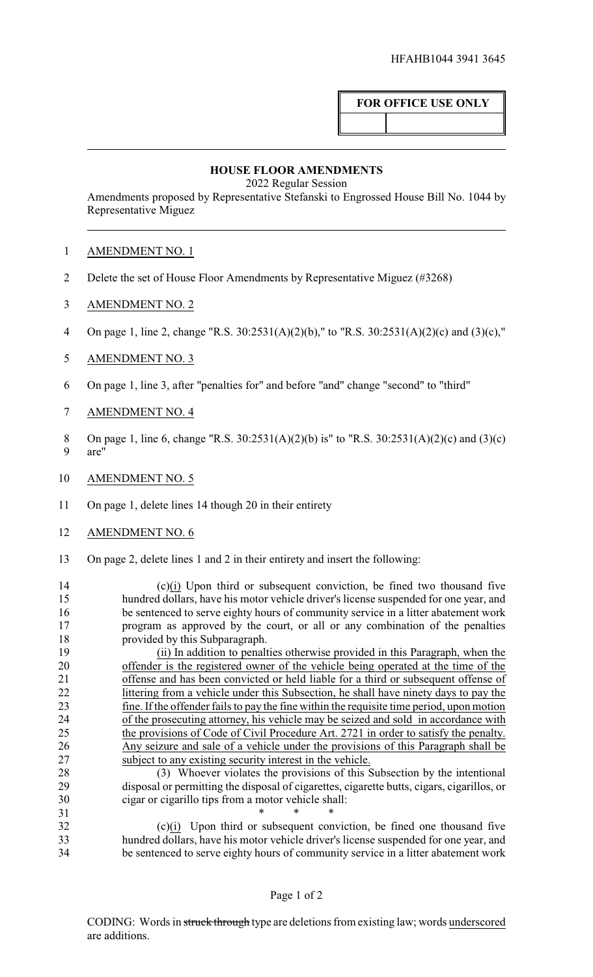## **FOR OFFICE USE ONLY**

## **HOUSE FLOOR AMENDMENTS**

2022 Regular Session

Amendments proposed by Representative Stefanski to Engrossed House Bill No. 1044 by Representative Miguez

## AMENDMENT NO. 1

- Delete the set of House Floor Amendments by Representative Miguez (#3268)
- AMENDMENT NO. 2
- On page 1, line 2, change "R.S. 30:2531(A)(2)(b)," to "R.S. 30:2531(A)(2)(c) and (3)(c),"
- AMENDMENT NO. 3
- On page 1, line 3, after "penalties for" and before "and" change "second" to "third"
- AMENDMENT NO. 4
- 8 On page 1, line 6, change "R.S. 30:2531(A)(2)(b) is" to "R.S. 30:2531(A)(2)(c) and (3)(c) are"
- AMENDMENT NO. 5
- On page 1, delete lines 14 though 20 in their entirety
- AMENDMENT NO. 6
- On page 2, delete lines 1 and 2 in their entirety and insert the following:

 (c)(i) Upon third or subsequent conviction, be fined two thousand five hundred dollars, have his motor vehicle driver's license suspended for one year, and be sentenced to serve eighty hours of community service in a litter abatement work program as approved by the court, or all or any combination of the penalties provided by this Subparagraph.

 (ii) In addition to penalties otherwise provided in this Paragraph, when the offender is the registered owner of the vehicle being operated at the time of the offense and has been convicted or held liable for a third or subsequent offense of littering from a vehicle under this Subsection, he shall have ninety days to pay the fine. Ifthe offender fails to pay the fine within the requisite time period, upon motion of the prosecuting attorney, his vehicle may be seized and sold in accordance with the provisions of Code of Civil Procedure Art. 2721 in order to satisfy the penalty. Any seizure and sale of a vehicle under the provisions of this Paragraph shall be subject to any existing security interest in the vehicle.

 (3) Whoever violates the provisions of this Subsection by the intentional disposal or permitting the disposal of cigarettes, cigarette butts, cigars, cigarillos, or 30 cigar or cigarillo tips from a motor vehicle shall:<br>31 \* \* \* \*

 $*$  \* \* \* (c)(i) Upon third or subsequent conviction, be fined one thousand five hundred dollars, have his motor vehicle driver's license suspended for one year, and be sentenced to serve eighty hours of community service in a litter abatement work